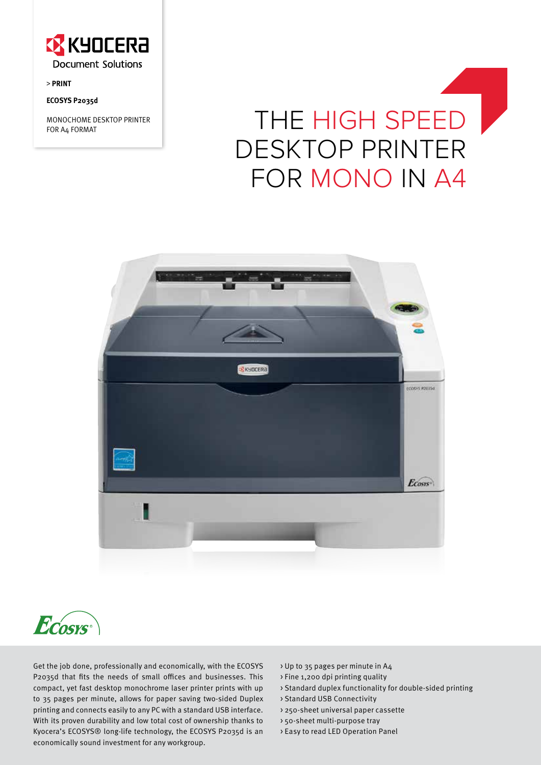

**> PRINT**

# **ECOSYS P2035d**

MONOCHOME DESKTOP PRINTER

# MONOCHOME DESKTOP PRINTER THE HIGH SPEED desktop printer FOR MONO IN A4





Get the job done, professionally and economically, with the ECOSYS P2035d that fits the needs of small offices and businesses. This compact, yet fast desktop monochrome laser printer prints with up to 35 pages per minute, allows for paper saving two-sided Duplex printing and connects easily to any PC with a standard USB interface. With its proven durability and low total cost of ownership thanks to Kyocera's ECOSYS® long-life technology, the ECOSYS P2035d is an economically sound investment for any workgroup.

- > Up to 35 pages per minute in A4
- > Fine 1,200 dpi printing quality
- > Standard duplex functionality for double-sided printing
- > Standard USB Connectivity
- > 250-sheet universal paper cassette
- > 50-sheet multi-purpose tray
- > Easy to read LED Operation Panel